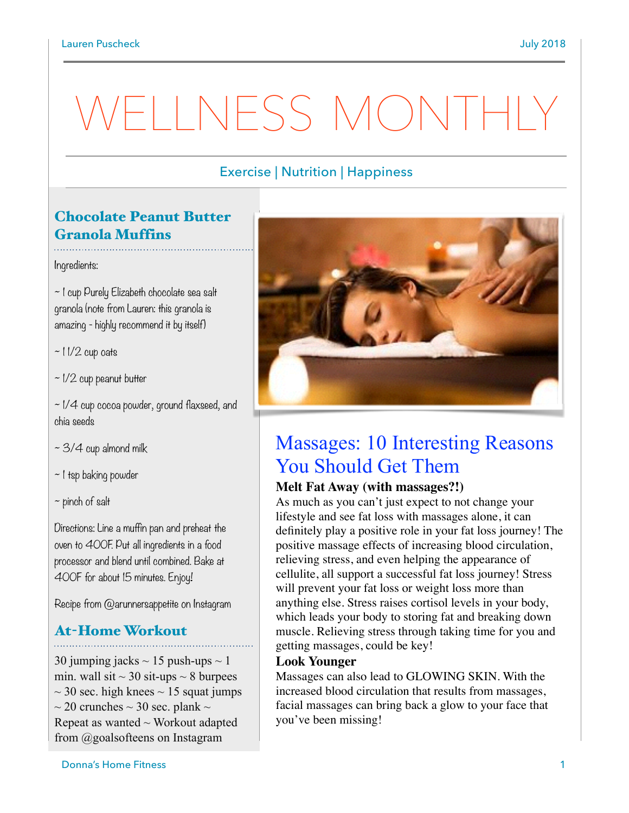# WELLNESS MONTHI

### Exercise | Nutrition | Happiness

## Chocolate Peanut Butter Granola Muffins

Ingredients:

~ 1 cup Purely Elizabeth chocolate sea salt granola (note from Lauren: this granola is amazing - highly recommend it by itself)

 $\sim$  11/2 cup oats

 $\sim$  1/2 cup peanut butter

 $\sim$  1/4 cup cocoa powder, ground flaxseed, and chia seeds

 $\sim$  3/4 cup almond milk

~ 1 tsp baking powder

 $\sim$  pinch of salt

Directions: Line a muffin pan and preheat the oven to 400F. Put all ingredients in a food processor and blend until combined. Bake at 400F for about 15 minutes. Enjoy!

Recipe from @arunnersappetite on Instagram

# At-Home Workout

30 jumping jacks  $\sim$  15 push-ups  $\sim$  1 min. wall sit  $\sim$  30 sit-ups  $\sim$  8 burpees  $\sim$  30 sec. high knees  $\sim$  15 squat jumps  $\sim$  20 crunches  $\sim$  30 sec. plank  $\sim$ Repeat as wanted  $\sim$  Workout adapted from @goalsofteens on Instagram



## Massages: 10 Interesting Reasons You Should Get Them

#### **Melt Fat Away (with massages?!)**

As much as you can't just expect to not change your lifestyle and see fat loss with massages alone, it can definitely play a positive role in your fat loss journey! The positive massage effects of increasing blood circulation, relieving stress, and even helping the appearance of cellulite, all support a successful fat loss journey! Stress will prevent your fat loss or weight loss more than anything else. Stress raises cortisol levels in your body, which leads your body to storing fat and breaking down muscle. Relieving stress throug[h taking time for you](https://freshfitnhealthy.com/take-time-for-yourself/) and getting massages, could be key!

#### **Look Younger**

Massages can also lead to GLOWING SKIN. With the [increased blood circulation](https://www.ncbi.nlm.nih.gov/pmc/articles/PMC2892349/) that results from massages, facial massages can bring back a glow to your face that you've been missing!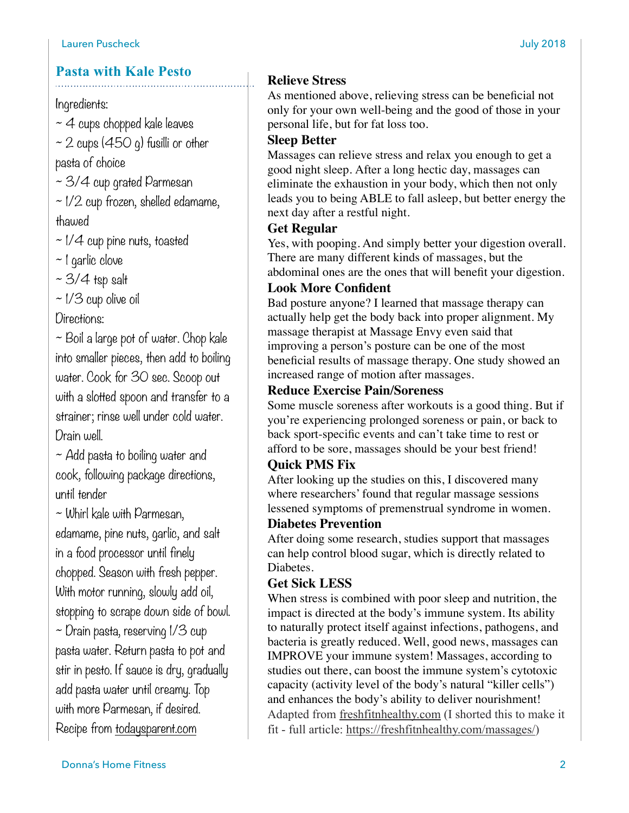### **Pasta with Kale Pesto**

#### Ingredients:

- $~\sim$  4 cups chopped kale leaves
- $\sim$  2 cups (450 g) fusilli or other pasta of choice
- $\sim$  3/4 cup grated Parmesan
- $\sim$  1/2 cup frozen, shelled edamame, thawed
- $\sim$  1/4 cup pine nuts, toasted
- ~ 1 garlic clove
- $~5/4$  tsp salt
- ~ 1/3 cup olive oil
- Directions:

~ Boil a large pot of water. Chop kale into smaller pieces, then add to boiling water. Cook for 30 sec. Scoop out with a slotted spoon and transfer to a strainer; rinse well under cold water. Drain well.

 $\sim$  Add pasta to boiling water and cook, following package directions, until tender

~ Whirl kale with Parmesan,

edamame, pine nuts, garlic, and salt in a food processor until finely chopped. Season with fresh pepper. With motor running, slowly add oil, stopping to scrape down side of bowl.  $\sim$  Drain pasta, reserving 1/3 cup pasta water. Return pasta to pot and stir in pesto. If sauce is dry, gradually add pasta water until creamy. Top with more Parmesan, if desired. Recipe from [todaysparent.com](http://todaysparent.com)

#### **Relieve Stress**

As mentioned above, relieving stress can be beneficial not only for your own well-being and the good of those in your personal life, but for fat loss too.

#### **Sleep Better**

Massages can relieve stress and relax you enough to get a good night sleep. After a long hectic day, massages can eliminate the exhaustion in your body, which then not only leads you to being ABLE to fall asleep, but better energy the next day after a restful night.

#### **Get Regular**

Yes, with pooping. And simply [better your digestion](https://www.ncbi.nlm.nih.gov/pubmed/21943617) overall. There are many different kinds of massages, but the abdominal ones are the ones that will benefit your digestion.

#### **Look More Confident**

Bad posture anyone? I learned that massage therapy can actually help get the body back into proper alignment. My massage therapist at Massage Envy even said that improving a person's posture can be one of the most beneficial results of massage therapy. One study showed an increased range of motion after massages.

#### **Reduce Exercise Pain/Soreness**

Some muscle soreness after workouts is a good thing. But if you're experiencing prolonged soreness or pain, or back to back sport-specific events and can't take time to rest or afford to be sore, massages should be your best friend!

## **Quick PMS Fix**

After [looking up the studies on this,](https://www.ncbi.nlm.nih.gov/pubmed/10907210) I discovered many where researchers' found that regular massage sessions lessened symptoms of premenstrual syndrome in women.

#### **Diabetes Prevention**

After doing some research, [studies support](https://www.sciencedaily.com/releases/2010/09/100908094809.htm) that massages can help control blood sugar, which is directly related to Diabetes.

#### **Get Sick LESS**

When stress is combined with poor sleep and nutrition, the impact is directed at the body's immune system. Its ability to naturally protect itself against infections, pathogens, and bacteria is greatly reduced. Well, good news, massages can [IMPROVE your immune system](https://nccih.nih.gov/health/massage/massageintroduction.htm)! Massages, according to studies out there, can boost the immune system's cytotoxic capacity (activity level of the body's natural "killer cells") and enhances the body's ability to deliver nourishment! Adapted from [freshfitnhealthy.com](http://freshfitnhealthy.com) (I shorted this to make it fit - full article:<https://freshfitnhealthy.com/massages/>)